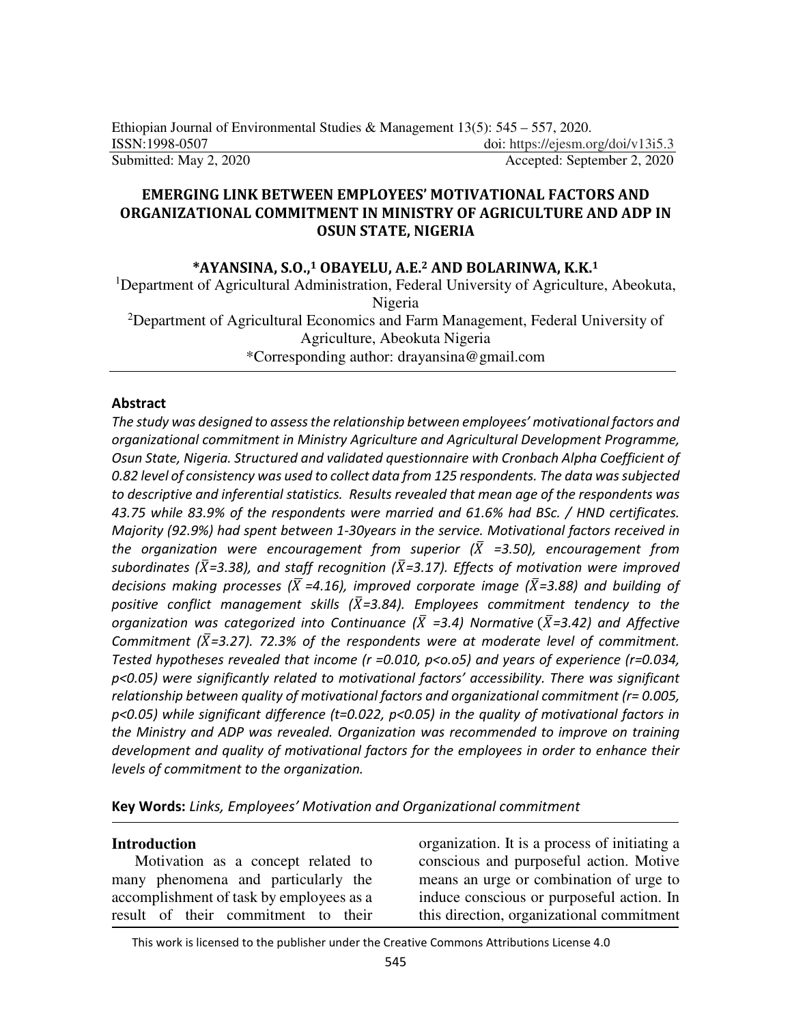## **EMERGING LINK BETWEEN EMPLOYEES' MOTIVATIONAL FACTORS AND ORGANIZATIONAL COMMITMENT IN MINISTRY OF AGRICULTURE AND ADP IN OSUN STATE, NIGERIA**

### **\*AYANSINA, S.O.,1 OBAYELU, A.E.2 AND BOLARINWA, K.K.<sup>1</sup>**

<sup>1</sup>Department of Agricultural Administration, Federal University of Agriculture, Abeokuta, Nigeria <sup>2</sup>Department of Agricultural Economics and Farm Management, Federal University of

Agriculture, Abeokuta Nigeria

\*Corresponding author: drayansina@gmail.com

#### **Abstract**

*The study was designed to assess the relationship between employees' motivational factors and organizational commitment in Ministry Agriculture and Agricultural Development Programme, Osun State, Nigeria. Structured and validated questionnaire with Cronbach Alpha Coefficient of 0.82 level of consistency was used to collect data from 125 respondents. The data was subjected to descriptive and inferential statistics. Results revealed that mean age of the respondents was 43.75 while 83.9% of the respondents were married and 61.6% had BSc. / HND certificates. Majority (92.9%) had spent between 1-30years in the service. Motivational factors received in*  the organization were encouragement from superior  $(\bar{X}$  =3.50), encouragement from subordinates ( $\bar{X}$ =3.38), and staff recognition ( $\bar{X}$ =3.17). Effects of motivation were improved decisions making processes ( $\overline{X}$  =4.16), improved corporate image ( $\overline{X}$ =3.88) and building of positive conflict management skills ( $\bar{X}$ =3.84). Employees commitment tendency to the organization was categorized into Continuance ( $\bar{X}$  =3.4) Normative ( $\bar{X}$ =3.42) and Affective Commitment ( $\bar{X}$ =3.27). 72.3% of the respondents were at moderate level of commitment. *Tested hypotheses revealed that income (r =0.010, p<o.o5) and years of experience (r=0.034, p<0.05) were significantly related to motivational factors' accessibility. There was significant relationship between quality of motivational factors and organizational commitment (r= 0.005, p<0.05) while significant difference (t=0.022, p<0.05) in the quality of motivational factors in the Ministry and ADP was revealed. Organization was recommended to improve on training development and quality of motivational factors for the employees in order to enhance their levels of commitment to the organization.* 

**Key Words:** *Links, Employees' Motivation and Organizational commitment* 

#### **Introduction**

Motivation as a concept related to many phenomena and particularly the accomplishment of task by employees as a result of their commitment to their

organization. It is a process of initiating a conscious and purposeful action. Motive means an urge or combination of urge to induce conscious or purposeful action. In this direction, organizational commitment

This work is licensed to the publisher under the Creative Commons Attributions License 4.0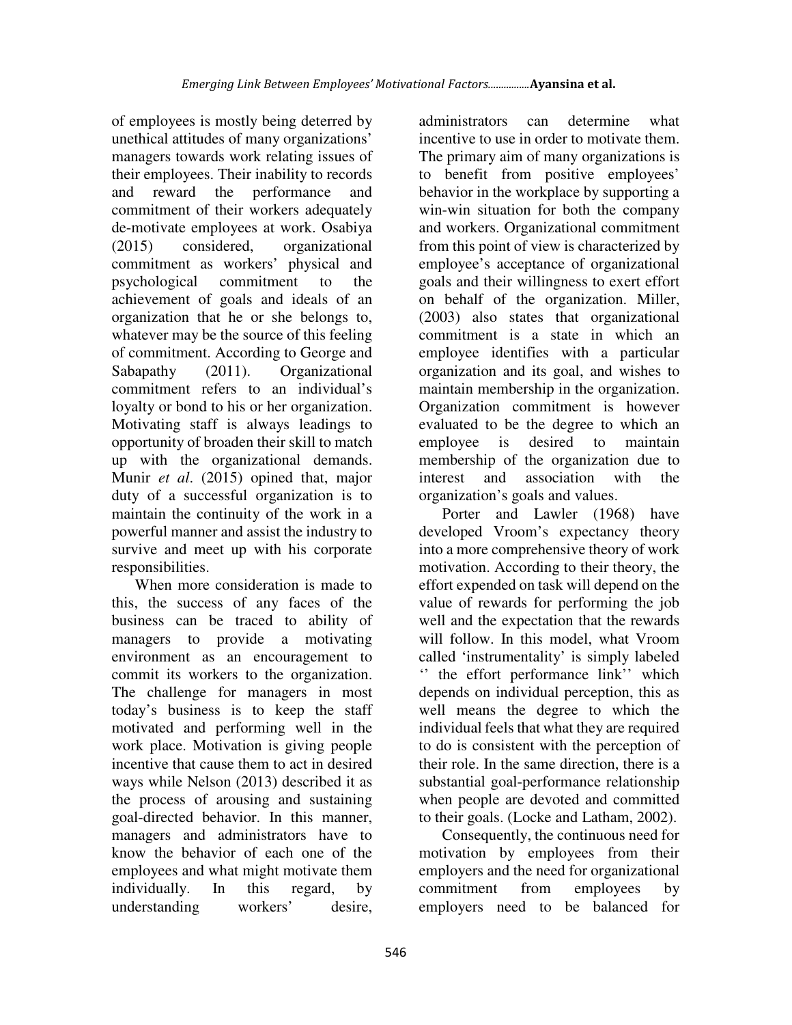of employees is mostly being deterred by unethical attitudes of many organizations' managers towards work relating issues of their employees. Their inability to records and reward the performance and commitment of their workers adequately de-motivate employees at work. Osabiya (2015) considered, organizational commitment as workers' physical and psychological commitment to the achievement of goals and ideals of an organization that he or she belongs to, whatever may be the source of this feeling of commitment. According to George and Sabapathy (2011). Organizational commitment refers to an individual's loyalty or bond to his or her organization. Motivating staff is always leadings to opportunity of broaden their skill to match up with the organizational demands. Munir *et al*. (2015) opined that, major duty of a successful organization is to maintain the continuity of the work in a powerful manner and assist the industry to survive and meet up with his corporate responsibilities.

When more consideration is made to this, the success of any faces of the business can be traced to ability of managers to provide a motivating environment as an encouragement to commit its workers to the organization. The challenge for managers in most today's business is to keep the staff motivated and performing well in the work place. Motivation is giving people incentive that cause them to act in desired ways while Nelson (2013) described it as the process of arousing and sustaining goal-directed behavior. In this manner, managers and administrators have to know the behavior of each one of the employees and what might motivate them individually. In this regard, by understanding workers' desire,

administrators can determine what incentive to use in order to motivate them. The primary aim of many organizations is to benefit from positive employees' behavior in the workplace by supporting a win-win situation for both the company and workers. Organizational commitment from this point of view is characterized by employee's acceptance of organizational goals and their willingness to exert effort on behalf of the organization. Miller, (2003) also states that organizational commitment is a state in which an employee identifies with a particular organization and its goal, and wishes to maintain membership in the organization. Organization commitment is however evaluated to be the degree to which an employee is desired to maintain membership of the organization due to interest and association with the organization's goals and values.

Porter and Lawler (1968) have developed Vroom's expectancy theory into a more comprehensive theory of work motivation. According to their theory, the effort expended on task will depend on the value of rewards for performing the job well and the expectation that the rewards will follow. In this model, what Vroom called 'instrumentality' is simply labeled '' the effort performance link'' which depends on individual perception, this as well means the degree to which the individual feels that what they are required to do is consistent with the perception of their role. In the same direction, there is a substantial goal-performance relationship when people are devoted and committed to their goals. (Locke and Latham, 2002).

Consequently, the continuous need for motivation by employees from their employers and the need for organizational commitment from employees by employers need to be balanced for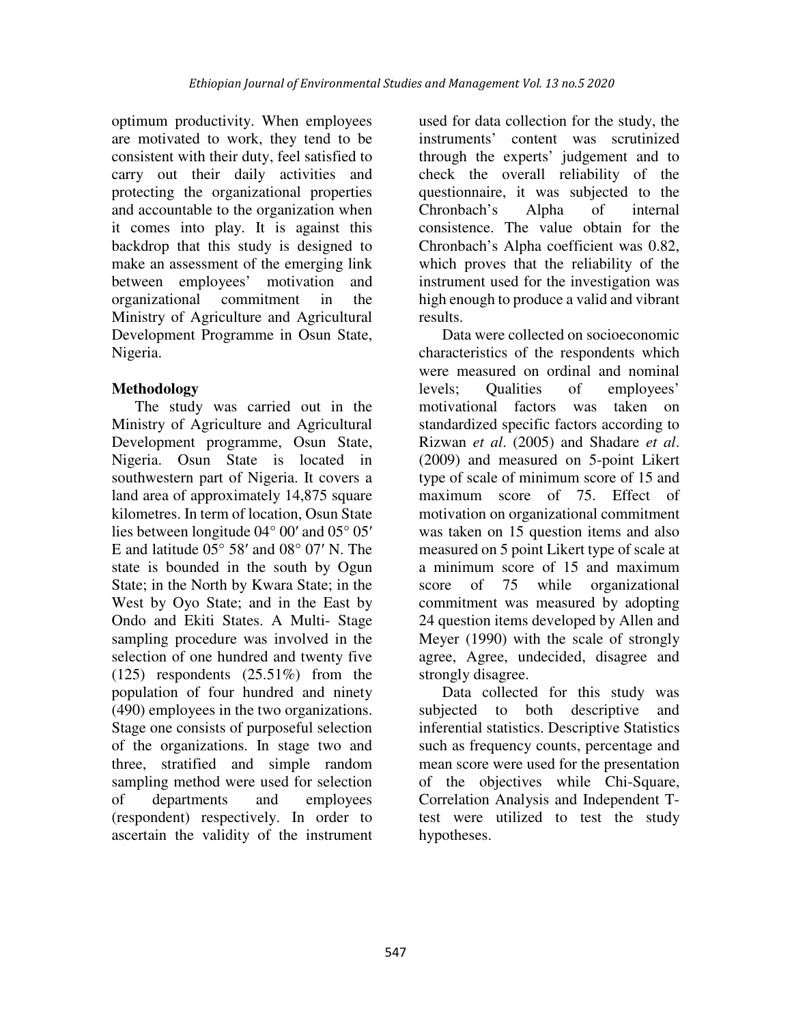optimum productivity. When employees are motivated to work, they tend to be consistent with their duty, feel satisfied to carry out their daily activities and protecting the organizational properties and accountable to the organization when it comes into play. It is against this backdrop that this study is designed to make an assessment of the emerging link between employees' motivation and organizational commitment in the Ministry of Agriculture and Agricultural Development Programme in Osun State, Nigeria.

# **Methodology**

The study was carried out in the Ministry of Agriculture and Agricultural Development programme, Osun State, Nigeria. Osun State is located in southwestern part of Nigeria. It covers a land area of approximately 14,875 square kilometres. In term of location, Osun State lies between longitude 04° 00′ and 05° 05′ E and latitude 05° 58′ and 08° 07′ N. The state is bounded in the south by Ogun State; in the North by Kwara State; in the West by Oyo State; and in the East by Ondo and Ekiti States. A Multi- Stage sampling procedure was involved in the selection of one hundred and twenty five (125) respondents (25.51%) from the population of four hundred and ninety (490) employees in the two organizations. Stage one consists of purposeful selection of the organizations. In stage two and three, stratified and simple random sampling method were used for selection of departments and employees (respondent) respectively. In order to ascertain the validity of the instrument

used for data collection for the study, the instruments' content was scrutinized through the experts' judgement and to check the overall reliability of the questionnaire, it was subjected to the Chronbach's Alpha of internal consistence. The value obtain for the Chronbach's Alpha coefficient was 0.82, which proves that the reliability of the instrument used for the investigation was high enough to produce a valid and vibrant results.

Data were collected on socioeconomic characteristics of the respondents which were measured on ordinal and nominal levels; Qualities of employees' motivational factors was taken on standardized specific factors according to Rizwan *et al*. (2005) and Shadare *et al*. (2009) and measured on 5-point Likert type of scale of minimum score of 15 and maximum score of 75. Effect of motivation on organizational commitment was taken on 15 question items and also measured on 5 point Likert type of scale at a minimum score of 15 and maximum score of 75 while organizational commitment was measured by adopting 24 question items developed by Allen and Meyer (1990) with the scale of strongly agree, Agree, undecided, disagree and strongly disagree.

Data collected for this study was subjected to both descriptive and inferential statistics. Descriptive Statistics such as frequency counts, percentage and mean score were used for the presentation of the objectives while Chi-Square, Correlation Analysis and Independent Ttest were utilized to test the study hypotheses.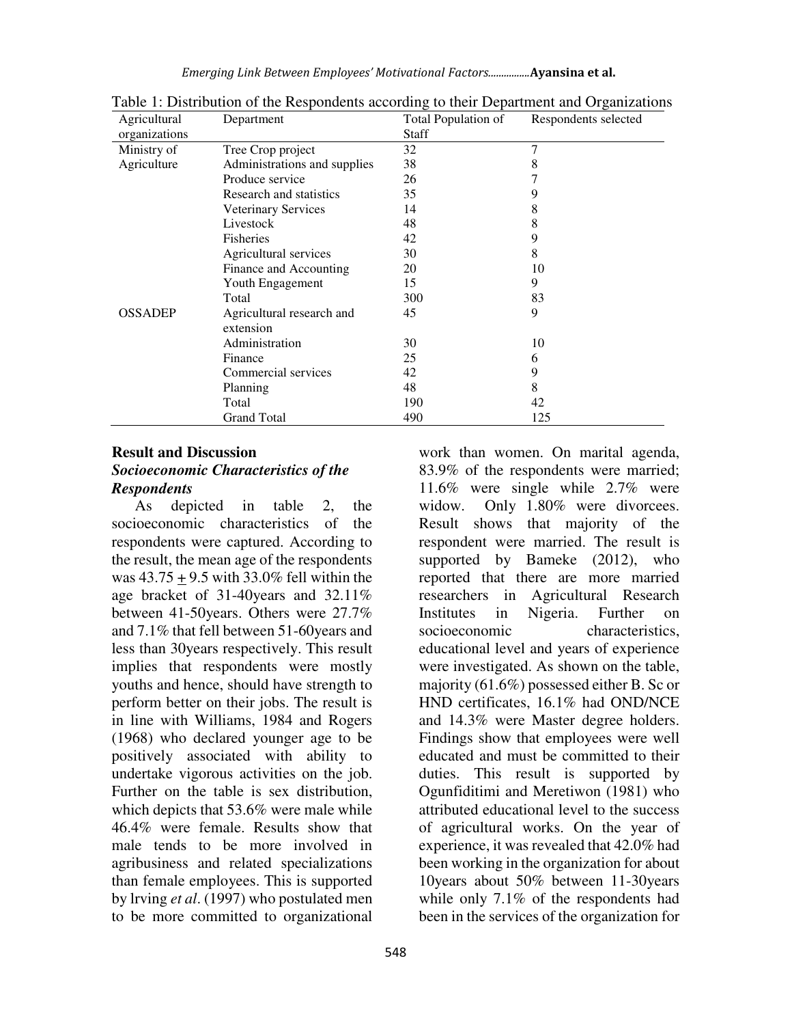*Emerging Link Between Employees' Motivational Factors................***Ayansina et al.**

| Agricultural   | Department                   | Total Population of | Respondents selected |
|----------------|------------------------------|---------------------|----------------------|
| organizations  |                              | <b>Staff</b>        |                      |
| Ministry of    | Tree Crop project            | 32                  | 7                    |
| Agriculture    | Administrations and supplies | 38                  | 8                    |
|                | Produce service              | 26                  |                      |
|                | Research and statistics      | 35                  | 9                    |
|                | <b>Veterinary Services</b>   | 14                  | 8                    |
|                | Livestock                    | 48                  | 8                    |
|                | <b>Fisheries</b>             | 42                  | 9                    |
|                | Agricultural services        | 30                  | 8                    |
|                | Finance and Accounting       | 20                  | 10                   |
|                | Youth Engagement             | 15                  | 9                    |
|                | Total                        | 300                 | 83                   |
| <b>OSSADEP</b> | Agricultural research and    | 45                  | 9                    |
|                | extension                    |                     |                      |
|                | Administration               | 30                  | 10                   |
|                | Finance                      | 25                  | 6                    |
|                | Commercial services          | 42                  | 9                    |
|                | Planning                     | 48                  | 8                    |
|                | Total                        | 190                 | 42                   |
|                | Grand Total                  | 490                 | 125                  |

Table 1: Distribution of the Respondents according to their Department and Organizations

## **Result and Discussion**  *Socioeconomic Characteristics of the Respondents*

As depicted in table 2, the socioeconomic characteristics of the respondents were captured. According to the result, the mean age of the respondents was 43.75 + 9.5 with 33.0% fell within the age bracket of 31-40years and 32.11% between 41-50years. Others were 27.7% and 7.1% that fell between 51-60years and less than 30years respectively. This result implies that respondents were mostly youths and hence, should have strength to perform better on their jobs. The result is in line with Williams, 1984 and Rogers (1968) who declared younger age to be positively associated with ability to undertake vigorous activities on the job. Further on the table is sex distribution, which depicts that 53.6% were male while 46.4% were female. Results show that male tends to be more involved in agribusiness and related specializations than female employees. This is supported by lrving *et al*. (1997) who postulated men to be more committed to organizational

work than women. On marital agenda, 83.9% of the respondents were married; 11.6% were single while 2.7% were widow. Only 1.80% were divorcees. Result shows that majority of the respondent were married. The result is supported by Bameke (2012), who reported that there are more married researchers in Agricultural Research Institutes in Nigeria. Further on socioeconomic characteristics. educational level and years of experience were investigated. As shown on the table, majority (61.6%) possessed either B. Sc or HND certificates, 16.1% had OND/NCE and 14.3% were Master degree holders. Findings show that employees were well educated and must be committed to their duties. This result is supported by Ogunfiditimi and Meretiwon (1981) who attributed educational level to the success of agricultural works. On the year of experience, it was revealed that 42.0% had been working in the organization for about 10years about 50% between 11-30years while only 7.1% of the respondents had been in the services of the organization for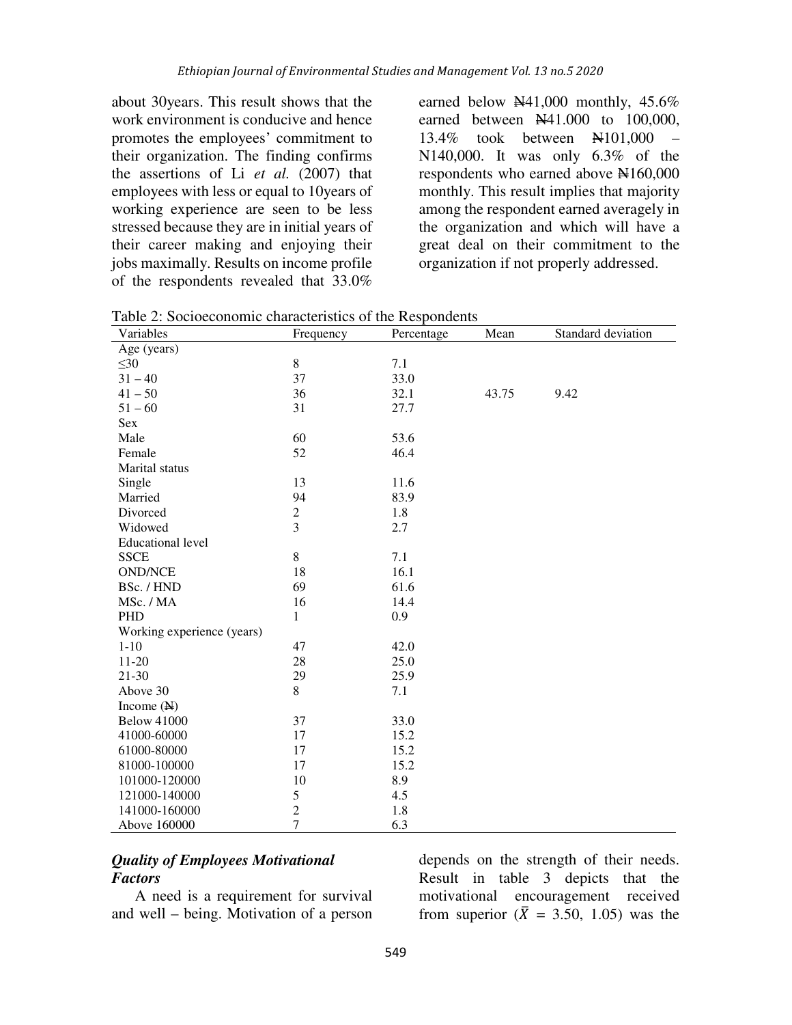about 30years. This result shows that the work environment is conducive and hence promotes the employees' commitment to their organization. The finding confirms the assertions of Li *et al.* (2007) that employees with less or equal to 10years of working experience are seen to be less stressed because they are in initial years of their career making and enjoying their jobs maximally. Results on income profile of the respondents revealed that 33.0%

earned below  $\mathbb{N}41,000$  monthly, 45.6% earned between  $\frac{1441.000}{100,000}$  to 100,000, 13.4% took between N101,000 – N140,000. It was only 6.3% of the respondents who earned above  $\text{H}160,000$ monthly. This result implies that majority among the respondent earned averagely in the organization and which will have a great deal on their commitment to the organization if not properly addressed.

| Variables                  | Frequency      | Percentage | Mean  | Standard deviation |
|----------------------------|----------------|------------|-------|--------------------|
| Age (years)                |                |            |       |                    |
| $\leq 30$                  | $\,8\,$        | 7.1        |       |                    |
| $31 - 40$                  | 37             | 33.0       |       |                    |
| $41 - 50$                  | 36             | 32.1       | 43.75 | 9.42               |
| $51 - 60$                  | 31             | 27.7       |       |                    |
| Sex                        |                |            |       |                    |
| Male                       | 60             | 53.6       |       |                    |
| Female                     | 52             | 46.4       |       |                    |
| Marital status             |                |            |       |                    |
| Single                     | 13             | 11.6       |       |                    |
| Married                    | 94             | 83.9       |       |                    |
| Divorced                   | $\sqrt{2}$     | 1.8        |       |                    |
| Widowed                    | $\overline{3}$ | 2.7        |       |                    |
| <b>Educational level</b>   |                |            |       |                    |
| <b>SSCE</b>                | 8              | 7.1        |       |                    |
| <b>OND/NCE</b>             | 18             | 16.1       |       |                    |
| BSc. / HND                 | 69             | 61.6       |       |                    |
| MSc. / MA                  | 16             | 14.4       |       |                    |
| PHD                        | $\mathbf{1}$   | 0.9        |       |                    |
| Working experience (years) |                |            |       |                    |
| $1 - 10$                   | 47             | 42.0       |       |                    |
| $11 - 20$                  | 28             | 25.0       |       |                    |
| $21 - 30$                  | 29             | 25.9       |       |                    |
| Above 30                   | 8              | 7.1        |       |                    |
| Income $(\mathbb{N})$      |                |            |       |                    |
| <b>Below 41000</b>         | 37             | 33.0       |       |                    |
| 41000-60000                | 17             | 15.2       |       |                    |
| 61000-80000                | 17             | 15.2       |       |                    |
| 81000-100000               | 17             | 15.2       |       |                    |
| 101000-120000              | 10             | 8.9        |       |                    |
| 121000-140000              | 5              | 4.5        |       |                    |
| 141000-160000              | $\sqrt{2}$     | 1.8        |       |                    |
| Above 160000               | $\overline{7}$ | 6.3        |       |                    |

Table 2: Socioeconomic characteristics of the Respondents

## *Quality of Employees Motivational Factors*

A need is a requirement for survival and well – being. Motivation of a person

depends on the strength of their needs. Result in table 3 depicts that the motivational encouragement received from superior ( $\bar{X} = 3.50, 1.05$ ) was the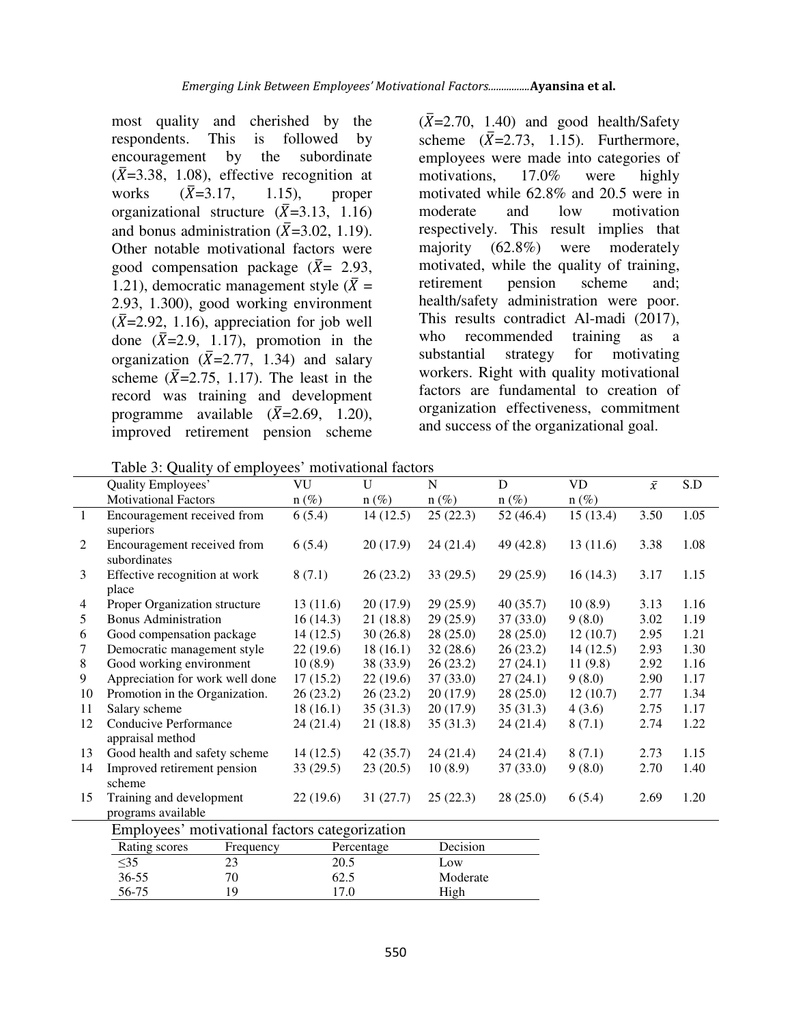most quality and cherished by the respondents. This is followed by encouragement by the subordinate  $(\bar{X}=3.38, 1.08)$ , effective recognition at works  $(\bar{X}=3.17,$  $1.15$ ), proper organizational structure  $(\bar{X}=3.13, 1.16)$ and bonus administration ( $\bar{X}$ =3.02, 1.19). Other notable motivational factors were good compensation package ( $\bar{X}$ = 2.93, 1.21), democratic management style ( $\bar{X}$  = 2.93, 1.300), good working environment  $(\bar{X}=2.92, 1.16)$ , appreciation for job well done  $(\bar{X}=2.9, 1.17)$ , promotion in the organization  $(\bar{X}=2.77, 1.34)$  and salary scheme  $(\bar{X}=2.75, 1.17)$ . The least in the record was training and development programme available  $(\bar{X}=2.69, 1.20)$ , improved retirement pension scheme

 $(\bar{X}=2.70, 1.40)$  and good health/Safety scheme  $(\bar{X}=2.73, 1.15)$ . Furthermore, employees were made into categories of motivations, 17.0% were highly motivated while 62.8% and 20.5 were in moderate and low motivation respectively. This result implies that majority (62.8%) were moderately motivated, while the quality of training, retirement pension scheme and; health/safety administration were poor. This results contradict Al-madi (2017), who recommended training as a substantial strategy for motivating workers. Right with quality motivational factors are fundamental to creation of organization effectiveness, commitment and success of the organizational goal.

Table 3: Quality of employees' motivational factors

|              | Quality Employees'                             | VU       | $\overline{U}$ | N        | D         | <b>VD</b> | $\bar{x}$ | S.D  |
|--------------|------------------------------------------------|----------|----------------|----------|-----------|-----------|-----------|------|
|              | <b>Motivational Factors</b>                    | $n(\%)$  | $n(\%)$        | $n(\%)$  | $n(\%)$   | $n(\%)$   |           |      |
| $\mathbf{1}$ | Encouragement received from<br>superiors       | 6(5.4)   | 14(12.5)       | 25(22.3) | 52 (46.4) | 15(13.4)  | 3.50      | 1.05 |
| 2            | Encouragement received from<br>subordinates    | 6(5.4)   | 20(17.9)       | 24(21.4) | 49 (42.8) | 13(11.6)  | 3.38      | 1.08 |
| 3            | Effective recognition at work<br>place         | 8(7.1)   | 26(23.2)       | 33(29.5) | 29(25.9)  | 16(14.3)  | 3.17      | 1.15 |
| 4            | Proper Organization structure                  | 13(11.6) | 20(17.9)       | 29(25.9) | 40(35.7)  | 10(8.9)   | 3.13      | 1.16 |
| 5            | <b>Bonus Administration</b>                    | 16(14.3) | 21(18.8)       | 29(25.9) | 37(33.0)  | 9(8.0)    | 3.02      | 1.19 |
| 6            | Good compensation package                      | 14(12.5) | 30(26.8)       | 28(25.0) | 28(25.0)  | 12(10.7)  | 2.95      | 1.21 |
| 7            | Democratic management style                    | 22(19.6) | 18(16.1)       | 32(28.6) | 26(23.2)  | 14(12.5)  | 2.93      | 1.30 |
| 8            | Good working environment                       | 10(8.9)  | 38 (33.9)      | 26(23.2) | 27(24.1)  | 11(9.8)   | 2.92      | 1.16 |
| 9            | Appreciation for work well done                | 17(15.2) | 22(19.6)       | 37(33.0) | 27(24.1)  | 9(8.0)    | 2.90      | 1.17 |
| 10           | Promotion in the Organization.                 | 26(23.2) | 26(23.2)       | 20(17.9) | 28(25.0)  | 12(10.7)  | 2.77      | 1.34 |
| 11           | Salary scheme                                  | 18(16.1) | 35(31.3)       | 20(17.9) | 35(31.3)  | 4(3.6)    | 2.75      | 1.17 |
| 12           | Conducive Performance<br>appraisal method      | 24(21.4) | 21(18.8)       | 35(31.3) | 24(21.4)  | 8(7.1)    | 2.74      | 1.22 |
| 13           | Good health and safety scheme                  | 14(12.5) | 42(35.7)       | 24(21.4) | 24(21.4)  | 8(7.1)    | 2.73      | 1.15 |
| 14           | Improved retirement pension<br>scheme          | 33(29.5) | 23(20.5)       | 10(8.9)  | 37(33.0)  | 9(8.0)    | 2.70      | 1.40 |
| 15           | Training and development<br>programs available | 22(19.6) | 31(27.7)       | 25(22.3) | 28(25.0)  | 6(5.4)    | 2.69      | 1.20 |
|              | Employees' motivational factors categorization |          |                |          |           |           |           |      |

|               | Employees monvational factors categorization |            |          |
|---------------|----------------------------------------------|------------|----------|
| Rating scores | Frequency                                    | Percentage | Decision |
| $\leq$ 35     |                                              | 20.5       | Low      |
| $36 - 55$     |                                              | 62.5       | Moderate |
| 56-75         |                                              | 7.0        | High     |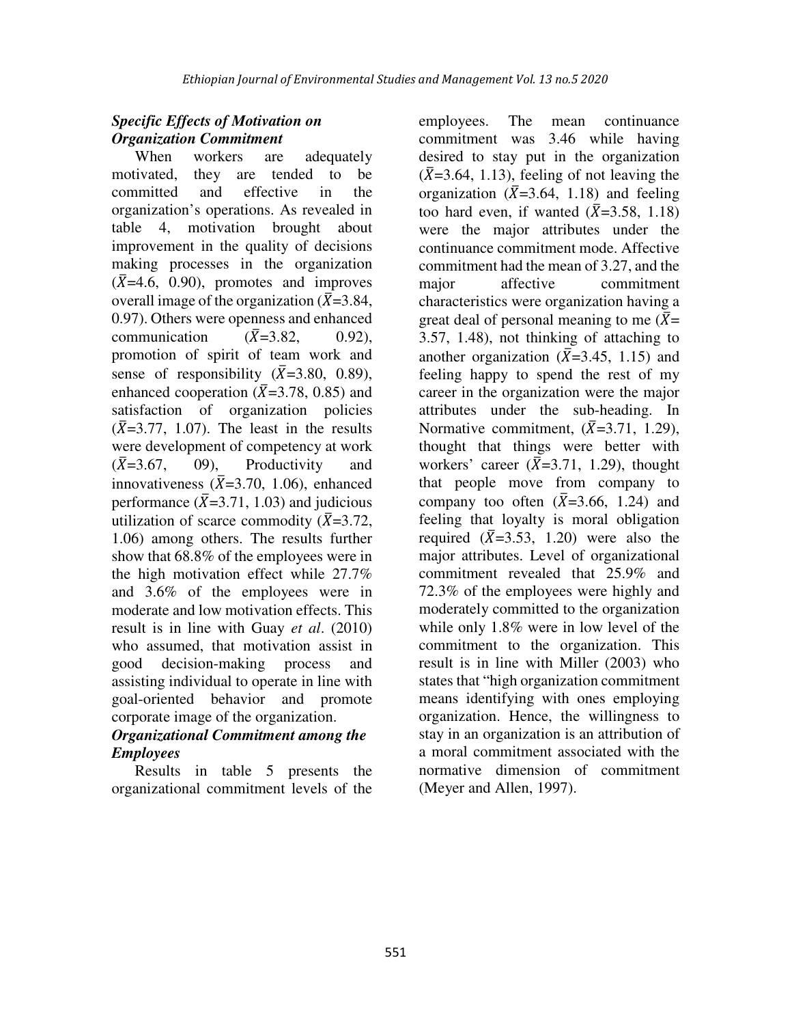# *Specific Effects of Motivation on Organization Commitment*

When workers are adequately motivated, they are tended to be committed and effective in the organization's operations. As revealed in table 4, motivation brought about improvement in the quality of decisions making processes in the organization  $(\bar{X}=4.6, 0.90)$ , promotes and improves overall image of the organization ( $\bar{X}$ =3.84, 0.97). Others were openness and enhanced communication  $(\bar{X}=3.82, 0.92)$ , promotion of spirit of team work and sense of responsibility  $(\overline{X}=3.80, 0.89)$ , enhanced cooperation ( $\bar{X}$ =3.78, 0.85) and satisfaction of organization policies  $(\bar{X}=3.77, 1.07)$ . The least in the results were development of competency at work  $(\bar{X}=3.67)$ . 09), Productivity and innovativeness  $(\bar{X}=3.70, 1.06)$ , enhanced performance ( $\bar{X}$ =3.71, 1.03) and judicious utilization of scarce commodity ( $\bar{X}$ =3.72, 1.06) among others. The results further show that 68.8% of the employees were in the high motivation effect while 27.7% and 3.6% of the employees were in moderate and low motivation effects. This result is in line with Guay *et al*. (2010) who assumed, that motivation assist in good decision-making process and assisting individual to operate in line with goal-oriented behavior and promote corporate image of the organization.

## *Organizational Commitment among the Employees*

Results in table 5 presents the organizational commitment levels of the

employees. The mean continuance commitment was 3.46 while having desired to stay put in the organization  $(\bar{X}=3.64, 1.13)$ , feeling of not leaving the organization ( $\bar{X}$ =3.64, 1.18) and feeling too hard even, if wanted  $(\overline{X}=3.58, 1.18)$ were the major attributes under the continuance commitment mode. Affective commitment had the mean of 3.27, and the major affective commitment characteristics were organization having a great deal of personal meaning to me  $(\bar{X})$ = 3.57, 1.48), not thinking of attaching to another organization ( $\bar{X}$ =3.45, 1.15) and feeling happy to spend the rest of my career in the organization were the major attributes under the sub-heading. In Normative commitment,  $(\overline{X}=3.71, 1.29)$ , thought that things were better with workers' career  $(\bar{X}=3.71, 1.29)$ , thought that people move from company to company too often  $(\overline{X}=3.66, 1.24)$  and feeling that loyalty is moral obligation required  $(\overline{X}=3.53, 1.20)$  were also the major attributes. Level of organizational commitment revealed that 25.9% and 72.3% of the employees were highly and moderately committed to the organization while only 1.8% were in low level of the commitment to the organization. This result is in line with Miller (2003) who states that "high organization commitment means identifying with ones employing organization. Hence, the willingness to stay in an organization is an attribution of a moral commitment associated with the normative dimension of commitment (Meyer and Allen, 1997).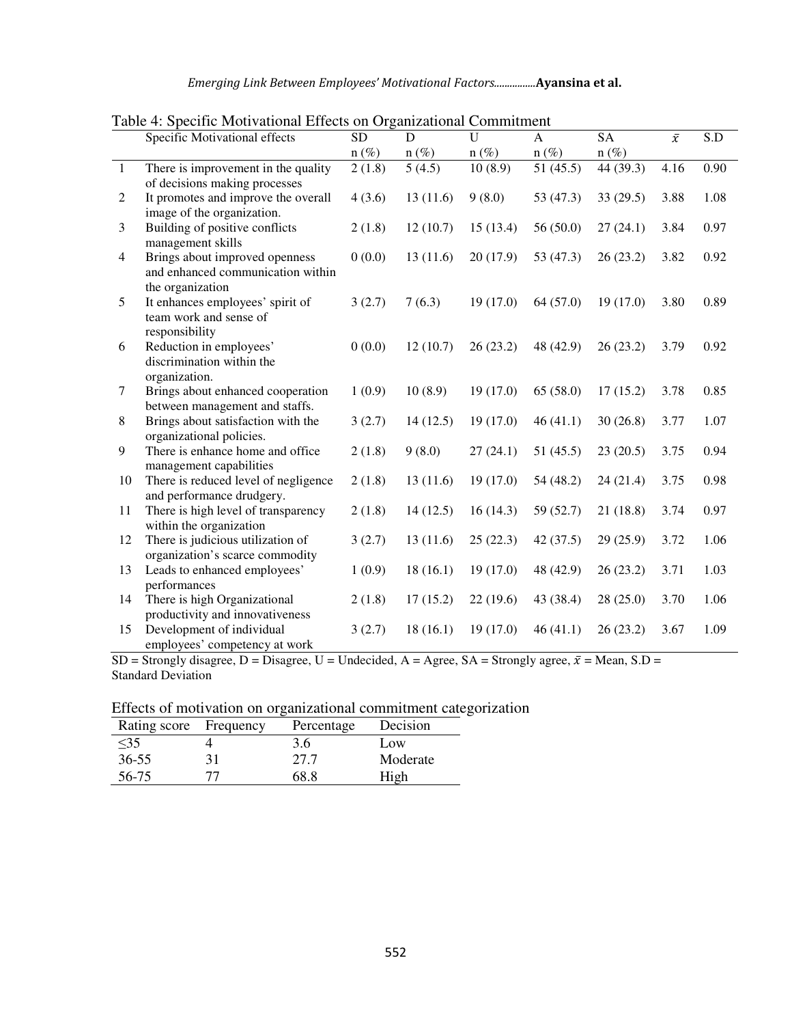| Emerging Link Between Employees' Motivational Factors Ayansina et al. |  |  |  |
|-----------------------------------------------------------------------|--|--|--|
|-----------------------------------------------------------------------|--|--|--|

|                | raoic +. Specific informational Effects on Organizational Communities<br>Specific Motivational effects | <b>SD</b>           | D                   | U        | $\mathbf{A}$ | <b>SA</b> | $\bar{x}$ | S.D  |
|----------------|--------------------------------------------------------------------------------------------------------|---------------------|---------------------|----------|--------------|-----------|-----------|------|
|                |                                                                                                        | $n(\%)$             | $n(\%)$             | $n(\%)$  | $n(\%)$      | $n (\%)$  |           |      |
| $\mathbf{1}$   | There is improvement in the quality<br>of decisions making processes                                   | $\overline{2(1.8)}$ | $\overline{5(4.5)}$ | 10(8.9)  | 51(45.5)     | 44(39.3)  | 4.16      | 0.90 |
| $\mathfrak{2}$ | It promotes and improve the overall<br>image of the organization.                                      | 4(3.6)              | 13(11.6)            | 9(8.0)   | 53 (47.3)    | 33(29.5)  | 3.88      | 1.08 |
| 3              | Building of positive conflicts<br>management skills                                                    | 2(1.8)              | 12(10.7)            | 15(13.4) | 56(50.0)     | 27(24.1)  | 3.84      | 0.97 |
| $\overline{4}$ | Brings about improved openness<br>and enhanced communication within<br>the organization                | 0(0.0)              | 13(11.6)            | 20(17.9) | 53 $(47.3)$  | 26(23.2)  | 3.82      | 0.92 |
| 5              | It enhances employees' spirit of<br>team work and sense of<br>responsibility                           | 3(2.7)              | 7(6.3)              | 19(17.0) | 64 (57.0)    | 19(17.0)  | 3.80      | 0.89 |
| 6              | Reduction in employees'<br>discrimination within the<br>organization.                                  | 0(0.0)              | 12(10.7)            | 26(23.2) | 48 (42.9)    | 26(23.2)  | 3.79      | 0.92 |
| $\tau$         | Brings about enhanced cooperation<br>between management and staffs.                                    | 1(0.9)              | 10(8.9)             | 19(17.0) | 65(58.0)     | 17(15.2)  | 3.78      | 0.85 |
| $\,8\,$        | Brings about satisfaction with the<br>organizational policies.                                         | 3(2.7)              | 14(12.5)            | 19(17.0) | 46(41.1)     | 30(26.8)  | 3.77      | 1.07 |
| 9              | There is enhance home and office<br>management capabilities                                            | 2(1.8)              | 9(8.0)              | 27(24.1) | 51(45.5)     | 23(20.5)  | 3.75      | 0.94 |
| 10             | There is reduced level of negligence<br>and performance drudgery.                                      | 2(1.8)              | 13(11.6)            | 19(17.0) | 54 (48.2)    | 24(21.4)  | 3.75      | 0.98 |
| 11             | There is high level of transparency<br>within the organization                                         | 2(1.8)              | 14(12.5)            | 16(14.3) | 59 (52.7)    | 21(18.8)  | 3.74      | 0.97 |
| 12             | There is judicious utilization of<br>organization's scarce commodity                                   | 3(2.7)              | 13(11.6)            | 25(22.3) | 42(37.5)     | 29(25.9)  | 3.72      | 1.06 |
| 13             | Leads to enhanced employees'<br>performances                                                           | 1(0.9)              | 18(16.1)            | 19(17.0) | 48 (42.9)    | 26(23.2)  | 3.71      | 1.03 |
| 14             | There is high Organizational<br>productivity and innovativeness                                        | 2(1.8)              | 17(15.2)            | 22(19.6) | 43 (38.4)    | 28(25.0)  | 3.70      | 1.06 |
| 15             | Development of individual<br>employees' competency at work                                             | 3(2.7)              | 18(16.1)            | 19(17.0) | 46(41.1)     | 26(23.2)  | 3.67      | 1.09 |

Table 4: Specific Motivational Effects on Organizational Commitment

SD = Strongly disagree, D = Disagree, U = Undecided, A = Agree, SA = Strongly agree,  $\bar{x}$  = Mean, S.D = Standard Deviation

| Effects of motivation on organizational commitment categorization |  |  |
|-------------------------------------------------------------------|--|--|
|                                                                   |  |  |

| Rating score Frequency | Percentage | Decision |
|------------------------|------------|----------|
| $\leq$ 35              | 3.6        | Low      |
| $36 - 55$              | 27.7       | Moderate |
| 56-75                  | 68 R       | High     |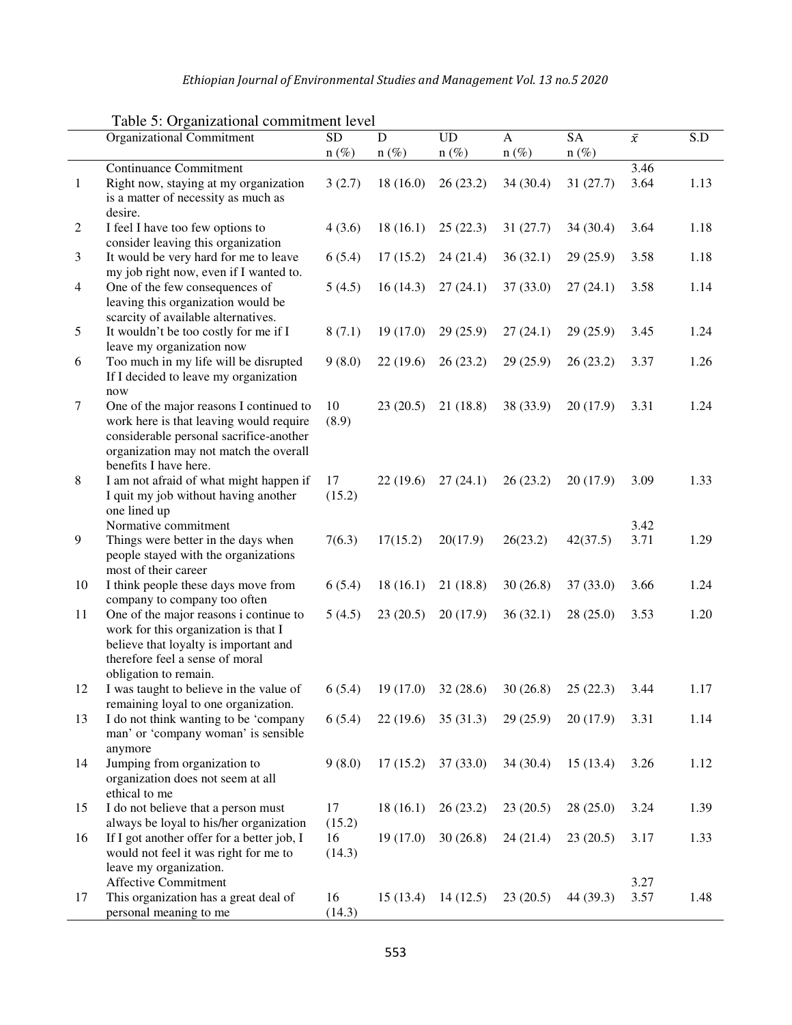*Ethiopian Journal of Environmental Studies and Management Vol. 13 no.5 2020* 

|              | <b>Organizational Commitment</b>                                         | <b>SD</b> | D         | <b>UD</b> | A         | <b>SA</b> | $\bar{\chi}$ | S.D  |
|--------------|--------------------------------------------------------------------------|-----------|-----------|-----------|-----------|-----------|--------------|------|
|              |                                                                          | $n(\%)$   | $n(\%)$   | $n(\%)$   | $n(\%)$   | $n(\%)$   |              |      |
|              | <b>Continuance Commitment</b>                                            |           |           |           |           |           | 3.46         |      |
| $\mathbf{1}$ | Right now, staying at my organization                                    | 3(2.7)    | 18(16.0)  | 26(23.2)  | 34(30.4)  | 31(27.7)  | 3.64         | 1.13 |
|              | is a matter of necessity as much as                                      |           |           |           |           |           |              |      |
|              | desire.                                                                  |           |           |           |           |           |              |      |
| 2            | I feel I have too few options to                                         | 4(3.6)    | 18(16.1)  | 25(22.3)  | 31(27.7)  | 34(30.4)  | 3.64         | 1.18 |
|              | consider leaving this organization                                       |           |           |           |           |           |              |      |
| 3            | It would be very hard for me to leave                                    | 6(5.4)    | 17(15.2)  | 24(21.4)  | 36(32.1)  | 29(25.9)  | 3.58         | 1.18 |
| 4            | my job right now, even if I wanted to.<br>One of the few consequences of | 5(4.5)    | 16(14.3)  | 27(24.1)  | 37(33.0)  | 27(24.1)  | 3.58         | 1.14 |
|              | leaving this organization would be                                       |           |           |           |           |           |              |      |
|              | scarcity of available alternatives.                                      |           |           |           |           |           |              |      |
| 5            | It wouldn't be too costly for me if I                                    | 8(7.1)    | 19(17.0)  | 29(25.9)  | 27(24.1)  | 29(25.9)  | 3.45         | 1.24 |
|              | leave my organization now                                                |           |           |           |           |           |              |      |
| 6            | Too much in my life will be disrupted                                    | 9(8.0)    | 22(19.6)  | 26(23.2)  | 29(25.9)  | 26(23.2)  | 3.37         | 1.26 |
|              | If I decided to leave my organization                                    |           |           |           |           |           |              |      |
|              | now                                                                      |           |           |           |           |           |              |      |
| $\tau$       | One of the major reasons I continued to                                  | 10        | 23(20.5)  | 21(18.8)  | 38 (33.9) | 20(17.9)  | 3.31         | 1.24 |
|              | work here is that leaving would require                                  | (8.9)     |           |           |           |           |              |      |
|              | considerable personal sacrifice-another                                  |           |           |           |           |           |              |      |
|              | organization may not match the overall                                   |           |           |           |           |           |              |      |
|              | benefits I have here.                                                    |           |           |           |           |           |              |      |
| $8\,$        | I am not afraid of what might happen if                                  | 17        | 22(19.6)  | 27(24.1)  | 26(23.2)  | 20(17.9)  | 3.09         | 1.33 |
|              | I quit my job without having another                                     | (15.2)    |           |           |           |           |              |      |
|              | one lined up<br>Normative commitment                                     |           |           |           |           |           | 3.42         |      |
| 9            | Things were better in the days when                                      | 7(6.3)    | 17(15.2)  | 20(17.9)  | 26(23.2)  | 42(37.5)  | 3.71         | 1.29 |
|              | people stayed with the organizations                                     |           |           |           |           |           |              |      |
|              | most of their career                                                     |           |           |           |           |           |              |      |
| 10           | I think people these days move from                                      | 6(5.4)    | 18(16.1)  | 21(18.8)  | 30(26.8)  | 37(33.0)  | 3.66         | 1.24 |
|              | company to company too often                                             |           |           |           |           |           |              |      |
| 11           | One of the major reasons i continue to                                   | 5(4.5)    | 23(20.5)  | 20(17.9)  | 36(32.1)  | 28(25.0)  | 3.53         | 1.20 |
|              | work for this organization is that I                                     |           |           |           |           |           |              |      |
|              | believe that loyalty is important and                                    |           |           |           |           |           |              |      |
|              | therefore feel a sense of moral                                          |           |           |           |           |           |              |      |
|              | obligation to remain.                                                    |           |           |           |           |           |              |      |
| 12           | I was taught to believe in the value of                                  | 6(5.4)    | 19(17.0)  | 32(28.6)  | 30(26.8)  | 25(22.3)  | 3.44         | 1.17 |
|              | remaining loyal to one organization.                                     |           |           |           |           |           |              |      |
| 13           | I do not think wanting to be 'company                                    | 6(5.4)    | 22(19.6)  | 35(31.3)  | 29(25.9)  | 20(17.9)  | 3.31         | 1.14 |
|              | man' or 'company woman' is sensible                                      |           |           |           |           |           |              |      |
| 14           | anymore<br>Jumping from organization to                                  | 9(8.0)    | 17(15.2)  | 37(33.0)  | 34 (30.4) | 15(13.4)  | 3.26         | 1.12 |
|              | organization does not seem at all                                        |           |           |           |           |           |              |      |
|              | ethical to me                                                            |           |           |           |           |           |              |      |
| 15           | I do not believe that a person must                                      | 17        | 18(16.1)  | 26(23.2)  | 23(20.5)  | 28(25.0)  | 3.24         | 1.39 |
|              | always be loyal to his/her organization                                  | (15.2)    |           |           |           |           |              |      |
| 16           | If I got another offer for a better job, I                               | 16        | 19 (17.0) | 30(26.8)  | 24(21.4)  | 23(20.5)  | 3.17         | 1.33 |
|              | would not feel it was right for me to                                    | (14.3)    |           |           |           |           |              |      |
|              | leave my organization.                                                   |           |           |           |           |           |              |      |
|              | Affective Commitment                                                     |           |           |           |           |           | 3.27         |      |
| 17           | This organization has a great deal of                                    | 16        | 15(13.4)  | 14(12.5)  | 23(20.5)  | 44 (39.3) | 3.57         | 1.48 |
|              | personal meaning to me                                                   | (14.3)    |           |           |           |           |              |      |

Table 5: Organizational commitment level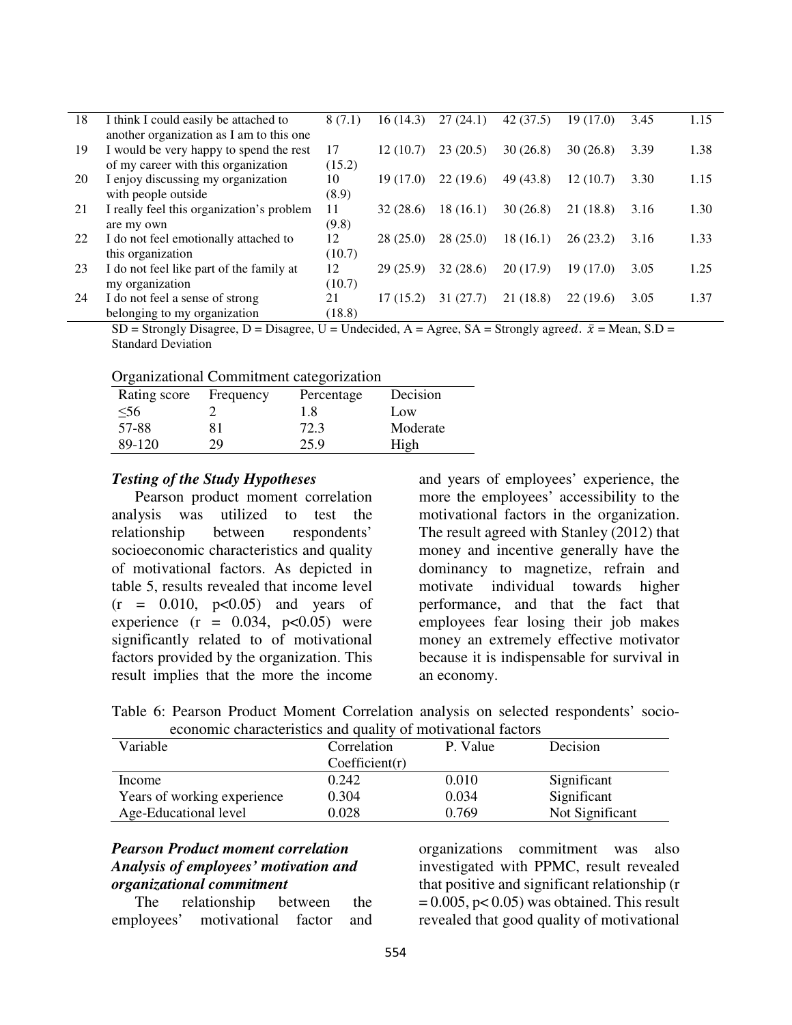| 18 | I think I could easily be attached to<br>another organization as I am to this one | 8 (7.1) | 16(14.3)  | 27(24.1)  | 42(37.5)  | 19 (17.0) | 3.45 | 1.15 |
|----|-----------------------------------------------------------------------------------|---------|-----------|-----------|-----------|-----------|------|------|
| 19 | I would be very happy to spend the rest                                           | 17      | 12(10.7)  | 23(20.5)  | 30(26.8)  | 30(26.8)  | 3.39 | 1.38 |
|    | of my career with this organization                                               | (15.2)  |           |           |           |           |      |      |
| 20 | I enjoy discussing my organization                                                | 10      | 19 (17.0) | 22(19.6)  | 49 (43.8) | 12(10.7)  | 3.30 | 1.15 |
|    | with people outside                                                               | (8.9)   |           |           |           |           |      |      |
| 21 | I really feel this organization's problem                                         | 11      | 32(28.6)  | 18 (16.1) | 30(26.8)  | 21 (18.8) | 3.16 | 1.30 |
|    | are my own                                                                        | (9.8)   |           |           |           |           |      |      |
| 22 | I do not feel emotionally attached to                                             | 12      | 28(25.0)  | 28(25.0)  | 18(16.1)  | 26(23.2)  | 3.16 | 1.33 |
|    | this organization                                                                 | (10.7)  |           |           |           |           |      |      |
| 23 | I do not feel like part of the family at                                          | 12      | 29(25.9)  | 32(28.6)  | 20 (17.9) | 19 (17.0) | 3.05 | 1.25 |
|    | my organization                                                                   | (10.7)  |           |           |           |           |      |      |
| 24 | I do not feel a sense of strong                                                   | 21      | 17(15.2)  | 31 (27.7) | 21 (18.8) | 22(19.6)  | 3.05 | 1.37 |
|    | belonging to my organization                                                      | (18.8)  |           |           |           |           |      |      |

 $SD =$  Strongly Disagree, D = Disagree, U = Undecided, A = Agree, SA = Strongly agreed.  $\bar{x}$  = Mean, S.D = Standard Deviation

| Organizational Commitment categorization |  |  |
|------------------------------------------|--|--|
|                                          |  |  |
|                                          |  |  |

| Rating score | Frequency | Percentage | Decision |
|--------------|-----------|------------|----------|
| $<$ 56       |           | 1.8        | Low      |
| 57-88        |           | 72.3       | Moderate |
| 89-120       | 29.       | 25.9       | High     |

#### *Testing of the Study Hypotheses*

Pearson product moment correlation analysis was utilized to test the relationship between respondents' socioeconomic characteristics and quality of motivational factors. As depicted in table 5, results revealed that income level  $(r = 0.010, p < 0.05)$  and years of experience  $(r = 0.034, p<0.05)$  were significantly related to of motivational factors provided by the organization. This result implies that the more the income

and years of employees' experience, the more the employees' accessibility to the motivational factors in the organization. The result agreed with Stanley (2012) that money and incentive generally have the dominancy to magnetize, refrain and motivate individual towards higher performance, and that the fact that employees fear losing their job makes money an extremely effective motivator because it is indispensable for survival in an economy.

|                                                              |  |  |  |  |  |  |  |  | Table 6: Pearson Product Moment Correlation analysis on selected respondents' socio- |  |
|--------------------------------------------------------------|--|--|--|--|--|--|--|--|--------------------------------------------------------------------------------------|--|
| economic characteristics and quality of motivational factors |  |  |  |  |  |  |  |  |                                                                                      |  |

| Variable                    | Correlation    | P. Value | Decision        |
|-----------------------------|----------------|----------|-----------------|
|                             | Coefficient(r) |          |                 |
| Income                      | 0.242          | 0.010    | Significant     |
| Years of working experience | 0.304          | 0.034    | Significant     |
| Age-Educational level       | 0.028          | 0.769    | Not Significant |

## *Pearson Product moment correlation Analysis of employees' motivation and organizational commitment*

The relationship between the employees' motivational factor and

organizations commitment was also investigated with PPMC, result revealed that positive and significant relationship (r  $= 0.005$ , p $< 0.05$ ) was obtained. This result revealed that good quality of motivational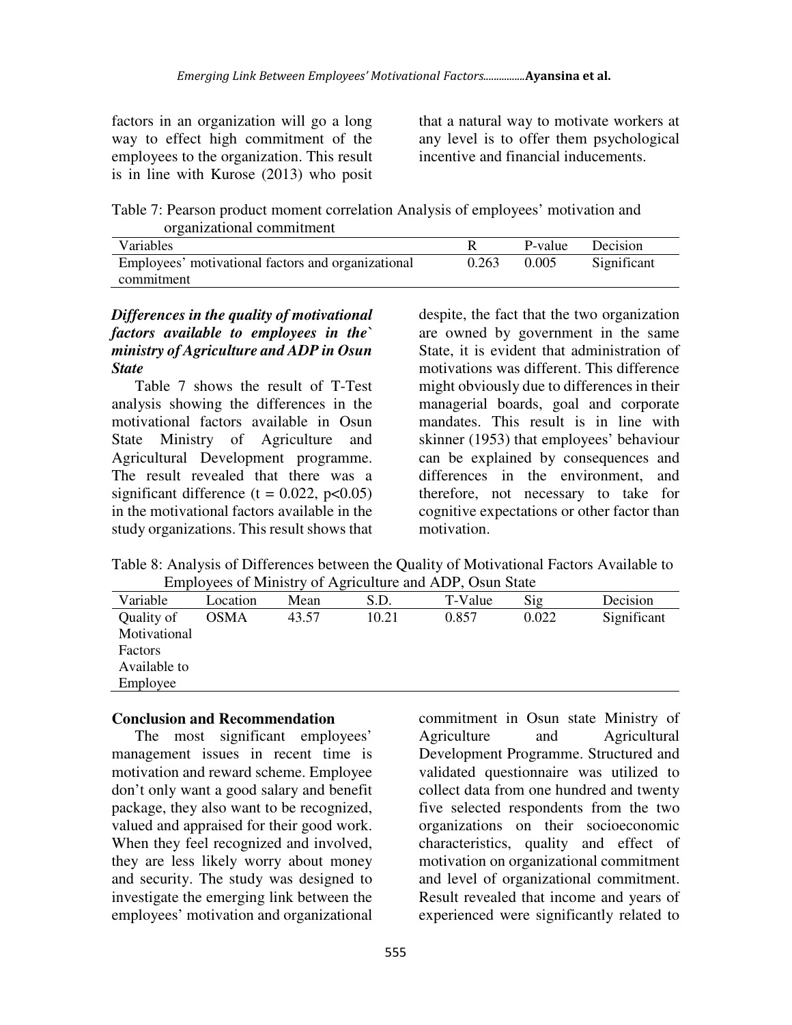factors in an organization will go a long way to effect high commitment of the employees to the organization. This result is in line with Kurose (2013) who posit

that a natural way to motivate workers at any level is to offer them psychological incentive and financial inducements.

Table 7: Pearson product moment correlation Analysis of employees' motivation and organizational commitment

| <b>Variables</b>                                   |       | P-value | Decision    |  |
|----------------------------------------------------|-------|---------|-------------|--|
| Employees' motivational factors and organizational | 0.263 | 0.005   | Significant |  |
| commitment                                         |       |         |             |  |

## *Differences in the quality of motivational factors available to employees in the` ministry of Agriculture and ADP in Osun State*

Table 7 shows the result of T-Test analysis showing the differences in the motivational factors available in Osun State Ministry of Agriculture and Agricultural Development programme. The result revealed that there was a significant difference ( $t = 0.022$ ,  $p < 0.05$ ) in the motivational factors available in the study organizations. This result shows that despite, the fact that the two organization are owned by government in the same State, it is evident that administration of motivations was different. This difference might obviously due to differences in their managerial boards, goal and corporate mandates. This result is in line with skinner (1953) that employees' behaviour can be explained by consequences and differences in the environment, and therefore, not necessary to take for cognitive expectations or other factor than motivation.

Table 8: Analysis of Differences between the Quality of Motivational Factors Available to Employees of Ministry of Agriculture and ADP, Osun State

| .<br>$\ldots$ |             |       |       |         |       |             |  |
|---------------|-------------|-------|-------|---------|-------|-------------|--|
| Variable      | Location    | Mean  | S.D.  | T-Value | Sig   | Decision    |  |
| Quality of    | <b>OSMA</b> | 43.57 | 10.21 | 0.857   | 0.022 | Significant |  |
| Motivational  |             |       |       |         |       |             |  |
| Factors       |             |       |       |         |       |             |  |
| Available to  |             |       |       |         |       |             |  |
| Employee      |             |       |       |         |       |             |  |

### **Conclusion and Recommendation**

The most significant employees' management issues in recent time is motivation and reward scheme. Employee don't only want a good salary and benefit package, they also want to be recognized, valued and appraised for their good work. When they feel recognized and involved, they are less likely worry about money and security. The study was designed to investigate the emerging link between the employees' motivation and organizational

commitment in Osun state Ministry of Agriculture and Agricultural Development Programme. Structured and validated questionnaire was utilized to collect data from one hundred and twenty five selected respondents from the two organizations on their socioeconomic characteristics, quality and effect of motivation on organizational commitment and level of organizational commitment. Result revealed that income and years of experienced were significantly related to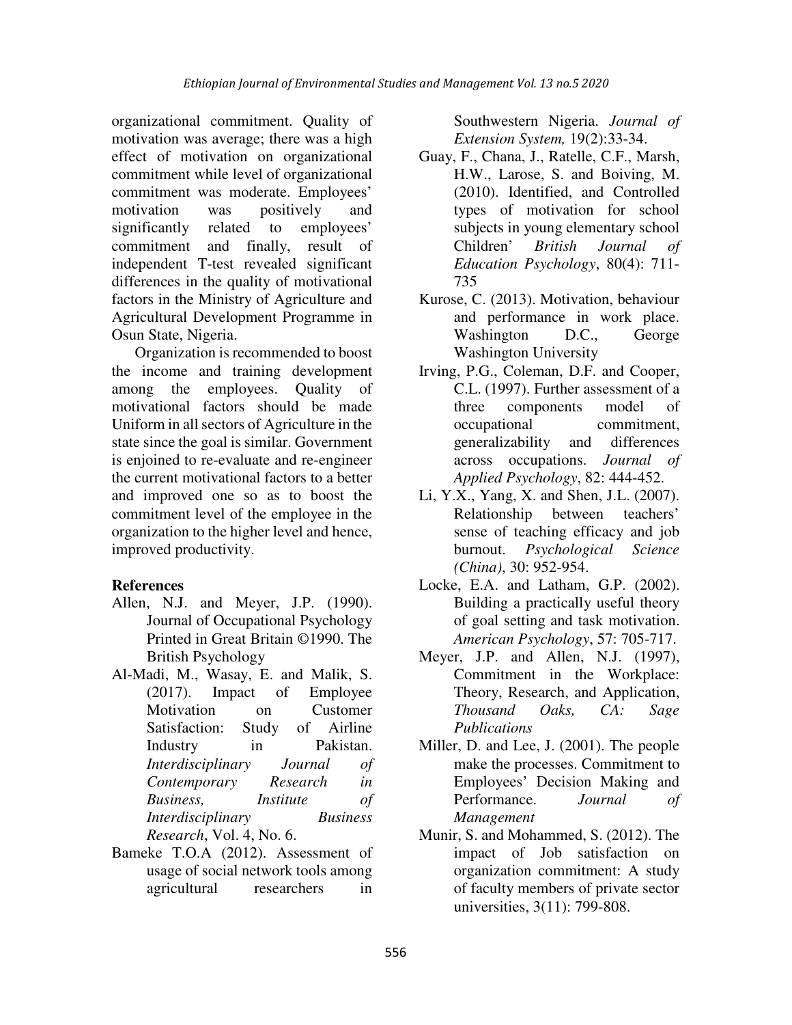organizational commitment. Quality of motivation was average; there was a high effect of motivation on organizational commitment while level of organizational commitment was moderate. Employees' motivation was positively and significantly related to employees' commitment and finally, result of independent T-test revealed significant differences in the quality of motivational factors in the Ministry of Agriculture and Agricultural Development Programme in Osun State, Nigeria.

Organization is recommended to boost the income and training development among the employees. Quality of motivational factors should be made Uniform in all sectors of Agriculture in the state since the goal is similar. Government is enjoined to re-evaluate and re-engineer the current motivational factors to a better and improved one so as to boost the commitment level of the employee in the organization to the higher level and hence, improved productivity.

# **References**

- Allen, N.J. and Meyer, J.P. (1990). Journal of Occupational Psychology Printed in Great Britain ©1990. The British Psychology
- Al-Madi, M., Wasay, E. and Malik, S. (2017). Impact of Employee Motivation on Customer Satisfaction: Study of Airline Industry in Pakistan. *Interdisciplinary Journal of Contemporary Research in Business, Institute of Interdisciplinary Business Research*, Vol. 4, No. 6.
- Bameke T.O.A (2012). Assessment of usage of social network tools among agricultural researchers in

Southwestern Nigeria. *Journal of Extension System,* 19(2):33-34.

- Guay, F., Chana, J., Ratelle, C.F., Marsh, H.W., Larose, S. and Boiving, M. (2010). Identified, and Controlled types of motivation for school subjects in young elementary school Children' *British Journal of Education Psychology*, 80(4): 711- 735
- Kurose, C. (2013). Motivation, behaviour and performance in work place. Washington D.C., George Washington University
- Irving, P.G., Coleman, D.F. and Cooper, C.L. (1997). Further assessment of a three components model of occupational commitment, generalizability and differences across occupations. *Journal of Applied Psychology*, 82: 444-452.
- Li, Y.X., Yang, X. and Shen, J.L. (2007). Relationship between teachers' sense of teaching efficacy and job burnout. *Psychological Science (China)*, 30: 952-954.
- Locke, E.A. and Latham, G.P. (2002). Building a practically useful theory of goal setting and task motivation. *American Psychology*, 57: 705-717.
- Meyer, J.P. and Allen, N.J. (1997), Commitment in the Workplace: Theory, Research, and Application, *Thousand Oaks, CA: Sage Publications*
- Miller, D. and Lee, J. (2001). The people make the processes. Commitment to Employees' Decision Making and Performance. *Journal of Management*
- Munir, S. and Mohammed, S. (2012). The impact of Job satisfaction on organization commitment: A study of faculty members of private sector universities, 3(11): 799-808.